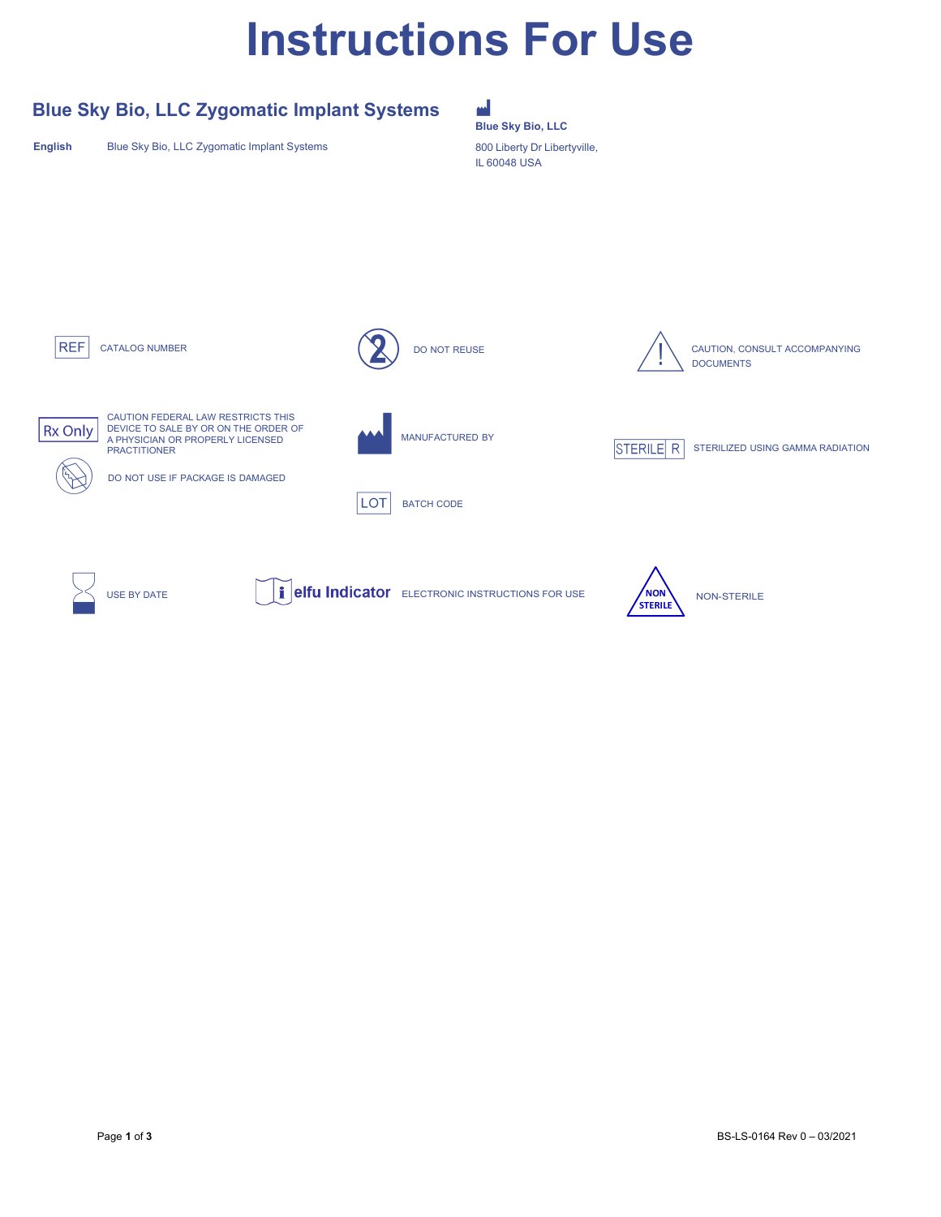# **Instructions For Use**

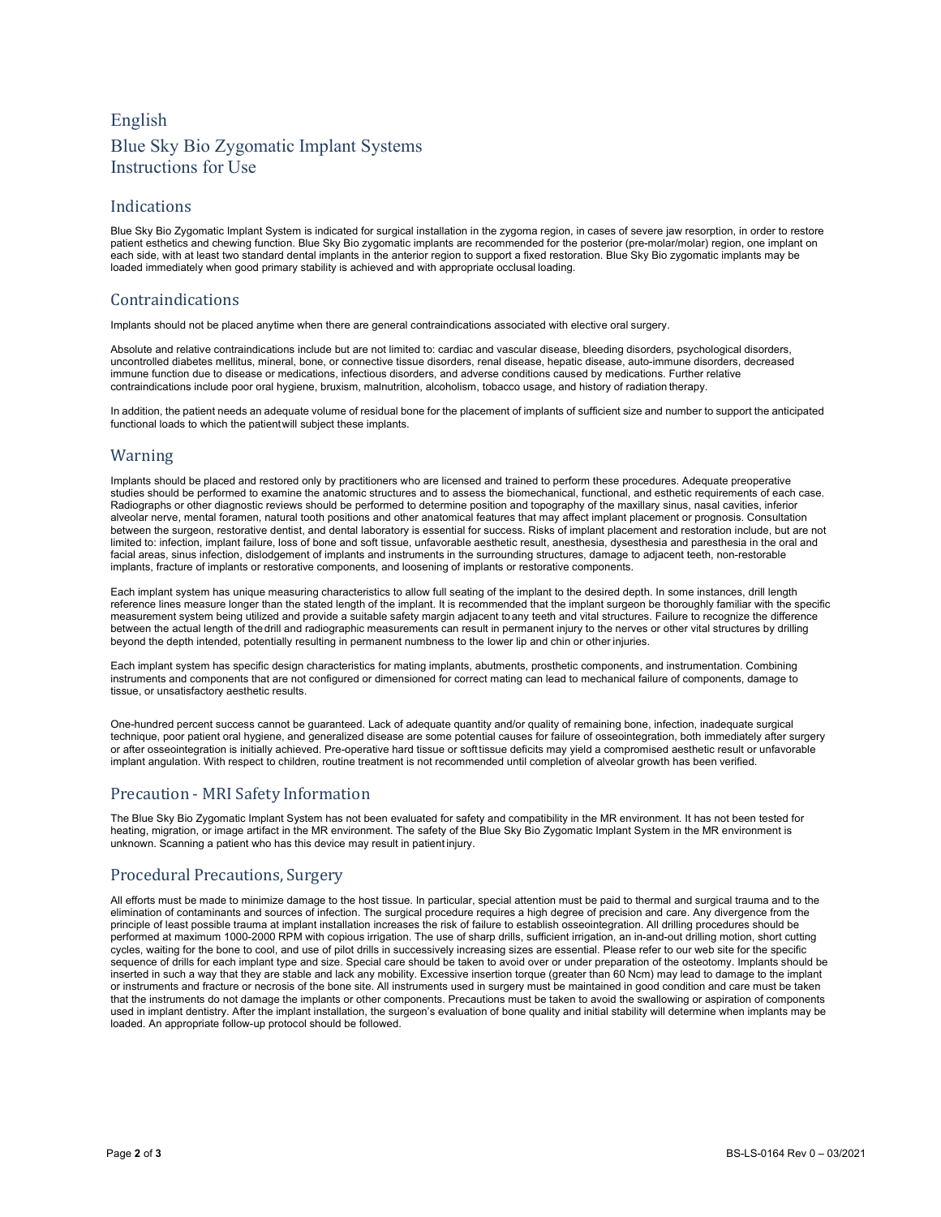# English Blue Sky Bio Zygomatic Implant Systems Instructions for Use

#### Indications

Blue Sky Bio Zygomatic Implant System is indicated for surgical installation in the zygoma region, in cases of severe jaw resorption, in order to restore patient esthetics and chewing function. Blue Sky Bio zygomatic implants are recommended for the posterior (pre-molar/molar) region, one implant on each side, with at least two standard dental implants in the anterior region to support a fixed restoration. Blue Sky Bio zygomatic implants may be loaded immediately when good primary stability is achieved and with appropriate occlusal loading.

#### Contraindications

Implants should not be placed anytime when there are general contraindications associated with elective oral surgery.

Absolute and relative contraindications include but are not limited to: cardiac and vascular disease, bleeding disorders, psychological disorders, uncontrolled diabetes mellitus, mineral, bone, or connective tissue disorders, renal disease, hepatic disease, auto-immune disorders, decreased immune function due to disease or medications, infectious disorders, and adverse conditions caused by medications. Further relative contraindications include poor oral hygiene, bruxism, malnutrition, alcoholism, tobacco usage, and history of radiation therapy.

In addition, the patient needs an adequate volume of residual bone for the placement of implants of sufficient size and number to support the anticipated functional loads to which the patientwill subject these implants.

#### Warning

Implants should be placed and restored only by practitioners who are licensed and trained to perform these procedures. Adequate preoperative studies should be performed to examine the anatomic structures and to assess the biomechanical, functional, and esthetic requirements of each case. Radiographs or other diagnostic reviews should be performed to determine position and topography of the maxillary sinus, nasal cavities, inferior alveolar nerve, mental foramen, natural tooth positions and other anatomical features that may affect implant placement or prognosis. Consultation between the surgeon, restorative dentist, and dental laboratory is essential for success. Risks of implant placement and restoration include, but are not limited to: infection, implant failure, loss of bone and soft tissue, unfavorable aesthetic result, anesthesia, dysesthesia and paresthesia in the oral and facial areas, sinus infection, dislodgement of implants and instruments in the surrounding structures, damage to adjacent teeth, non-restorable implants, fracture of implants or restorative components, and loosening of implants or restorative components.

Each implant system has unique measuring characteristics to allow full seating of the implant to the desired depth. In some instances, drill length reference lines measure longer than the stated length of the implant. It is recommended that the implant surgeon be thoroughly familiar with the specific measurement system being utilized and provide a suitable safety margin adjacent toany teeth and vital structures. Failure to recognize the difference between the actual length of thedrill and radiographic measurements can result in permanent injury to the nerves or other vital structures by drilling beyond the depth intended, potentially resulting in permanent numbness to the lower lip and chin or other injuries.

Each implant system has specific design characteristics for mating implants, abutments, prosthetic components, and instrumentation. Combining instruments and components that are not configured or dimensioned for correct mating can lead to mechanical failure of components, damage to tissue, or unsatisfactory aesthetic results.

One-hundred percent success cannot be guaranteed. Lack of adequate quantity and/or quality of remaining bone, infection, inadequate surgical technique, poor patient oral hygiene, and generalized disease are some potential causes for failure of osseointegration, both immediately after surgery or after osseointegration is initially achieved. Pre-operative hard tissue or softtissue deficits may yield a compromised aesthetic result or unfavorable implant angulation. With respect to children, routine treatment is not recommended until completion of alveolar growth has been verified.

## Precaution - MRI Safety Information

The Blue Sky Bio Zygomatic Implant System has not been evaluated for safety and compatibility in the MR environment. It has not been tested for heating, migration, or image artifact in the MR environment. The safety of the Blue Sky Bio Zygomatic Implant System in the MR environment is unknown. Scanning a patient who has this device may result in patient injury.

## Procedural Precautions, Surgery

All efforts must be made to minimize damage to the host tissue. In particular, special attention must be paid to thermal and surgical trauma and to the elimination of contaminants and sources of infection. The surgical procedure requires a high degree of precision and care. Any divergence from the principle of least possible trauma at implant installation increases the risk of failure to establish osseointegration. All drilling procedures should be performed at maximum 1000-2000 RPM with copious irrigation. The use of sharp drills, sufficient irrigation, an in-and-out drilling motion, short cutting cycles, waiting for the bone to cool, and use of pilot drills in successively increasing sizes are essential. Please refer to our web site for the specific sequence of drills for each implant type and size. Special care should be taken to avoid over or under preparation of the osteotomy. Implants should be inserted in such a way that they are stable and lack any mobility. Excessive insertion torque (greater than 60 Ncm) may lead to damage to the implant or instruments and fracture or necrosis of the bone site. All instruments used in surgery must be maintained in good condition and care must be taken that the instruments do not damage the implants or other components. Precautions must be taken to avoid the swallowing or aspiration of components used in implant dentistry. After the implant installation, the surgeon's evaluation of bone quality and initial stability will determine when implants may be loaded. An appropriate follow-up protocol should be followed.